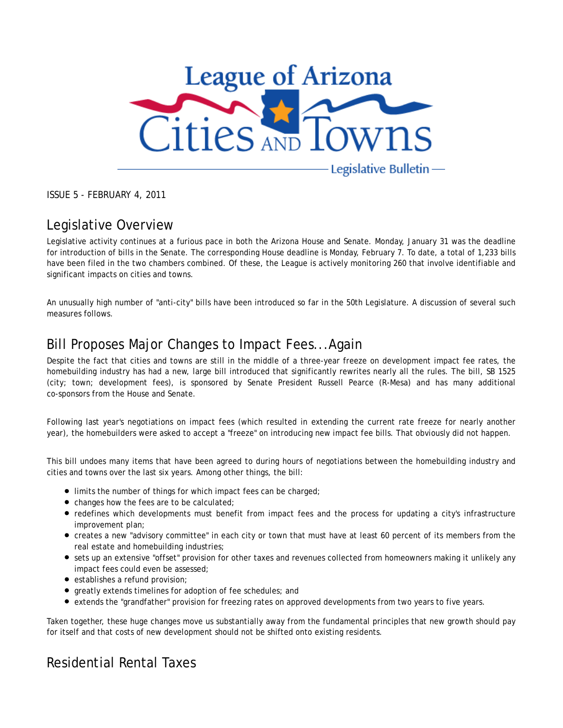

ISSUE 5 - FEBRUARY 4, 2011

## Legislative Overview

Legislative activity continues at a furious pace in both the Arizona House and Senate. Monday, January 31 was the deadline for introduction of bills in the Senate. The corresponding House deadline is Monday, February 7. To date, a total of 1,233 bills have been filed in the two chambers combined. Of these, the League is actively monitoring 260 that involve identifiable and significant impacts on cities and towns.

An unusually high number of "anti-city" bills have been introduced so far in the 50th Legislature. A discussion of several such measures follows.

## Bill Proposes Major Changes to Impact Fees...Again

Despite the fact that cities and towns are still in the middle of a three-year freeze on development impact fee rates, the homebuilding industry has had a new, large bill introduced that significantly rewrites nearly all the rules. The bill, SB 1525 (city; town; development fees), is sponsored by Senate President Russell Pearce (R-Mesa) and has many additional co-sponsors from the House and Senate.

Following last year's negotiations on impact fees (which resulted in extending the current rate freeze for nearly another year), the homebuilders were asked to accept a "freeze" on introducing new impact fee bills. That obviously did not happen.

This bill undoes many items that have been agreed to during hours of negotiations between the homebuilding industry and cities and towns over the last six years. Among other things, the bill:

- **Imits the number of things for which impact fees can be charged;**
- changes how the fees are to be calculated:
- redefines which developments must benefit from impact fees and the process for updating a city's infrastructure improvement plan;
- creates a new "advisory committee" in each city or town that must have at least 60 percent of its members from the real estate and homebuilding industries;
- sets up an extensive "offset" provision for other taxes and revenues collected from homeowners making it unlikely any impact fees could even be assessed;
- establishes a refund provision;
- greatly extends timelines for adoption of fee schedules; and
- extends the "grandfather" provision for freezing rates on approved developments from two years to five years.

Taken together, these huge changes move us substantially away from the fundamental principles that new growth should pay for itself and that costs of new development should not be shifted onto existing residents.

## Residential Rental Taxes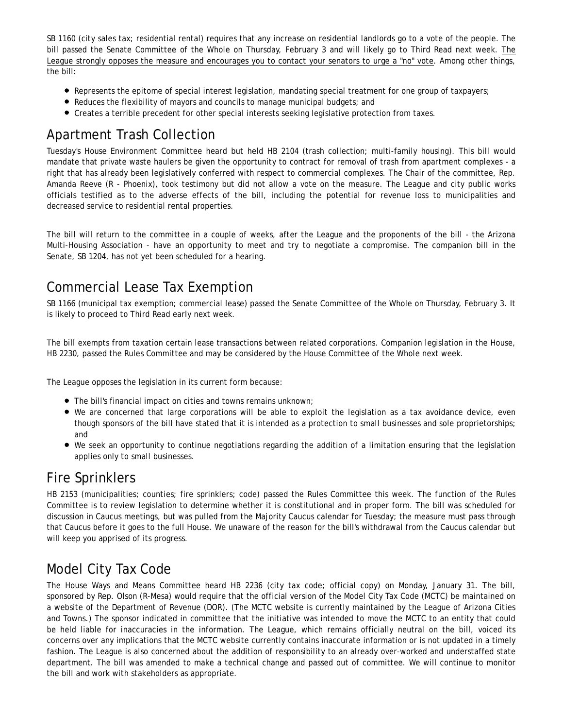SB 1160 (city sales tax; residential rental) requires that any increase on residential landlords go to a vote of the people. The bill passed the Senate Committee of the Whole on Thursday, February 3 and will likely go to Third Read next week. The League strongly opposes the measure and encourages you to contact your senators to urge a "no" vote. Among other things, the bill:

- Represents the epitome of special interest legislation, mandating special treatment for one group of taxpayers;
- Reduces the flexibility of mayors and councils to manage municipal budgets; and
- Creates a terrible precedent for other special interests seeking legislative protection from taxes.

## Apartment Trash Collection

Tuesday's House Environment Committee heard but held HB 2104 (trash collection; multi-family housing). This bill would mandate that private waste haulers be given the opportunity to contract for removal of trash from apartment complexes - a right that has already been legislatively conferred with respect to commercial complexes. The Chair of the committee, Rep. Amanda Reeve (R - Phoenix), took testimony but did not allow a vote on the measure. The League and city public works officials testified as to the adverse effects of the bill, including the potential for revenue loss to municipalities and decreased service to residential rental properties.

The bill will return to the committee in a couple of weeks, after the League and the proponents of the bill - the Arizona Multi-Housing Association - have an opportunity to meet and try to negotiate a compromise. The companion bill in the Senate, SB 1204, has not yet been scheduled for a hearing.

## Commercial Lease Tax Exemption

SB 1166 (municipal tax exemption; commercial lease) passed the Senate Committee of the Whole on Thursday, February 3. It is likely to proceed to Third Read early next week.

The bill exempts from taxation certain lease transactions between related corporations. Companion legislation in the House, HB 2230, passed the Rules Committee and may be considered by the House Committee of the Whole next week.

The League opposes the legislation in its current form because:

- The bill's financial impact on cities and towns remains unknown;
- We are concerned that large corporations will be able to exploit the legislation as a tax avoidance device, even though sponsors of the bill have stated that it is intended as a protection to small businesses and sole proprietorships; and
- We seek an opportunity to continue negotiations regarding the addition of a limitation ensuring that the legislation applies only to small businesses.

## Fire Sprinklers

HB 2153 (municipalities; counties; fire sprinklers; code) passed the Rules Committee this week. The function of the Rules Committee is to review legislation to determine whether it is constitutional and in proper form. The bill was scheduled for discussion in Caucus meetings, but was pulled from the Majority Caucus calendar for Tuesday; the measure must pass through that Caucus before it goes to the full House. We unaware of the reason for the bill's withdrawal from the Caucus calendar but will keep you apprised of its progress.

## Model City Tax Code

The House Ways and Means Committee heard HB 2236 (city tax code; official copy) on Monday, January 31. The bill, sponsored by Rep. Olson (R-Mesa) would require that the official version of the Model City Tax Code (MCTC) be maintained on a website of the Department of Revenue (DOR). (The MCTC website is currently maintained by the League of Arizona Cities and Towns.) The sponsor indicated in committee that the initiative was intended to move the MCTC to an entity that could be held liable for inaccuracies in the information. The League, which remains officially neutral on the bill, voiced its concerns over any implications that the MCTC website currently contains inaccurate information or is not updated in a timely fashion. The League is also concerned about the addition of responsibility to an already over-worked and understaffed state department. The bill was amended to make a technical change and passed out of committee. We will continue to monitor the bill and work with stakeholders as appropriate.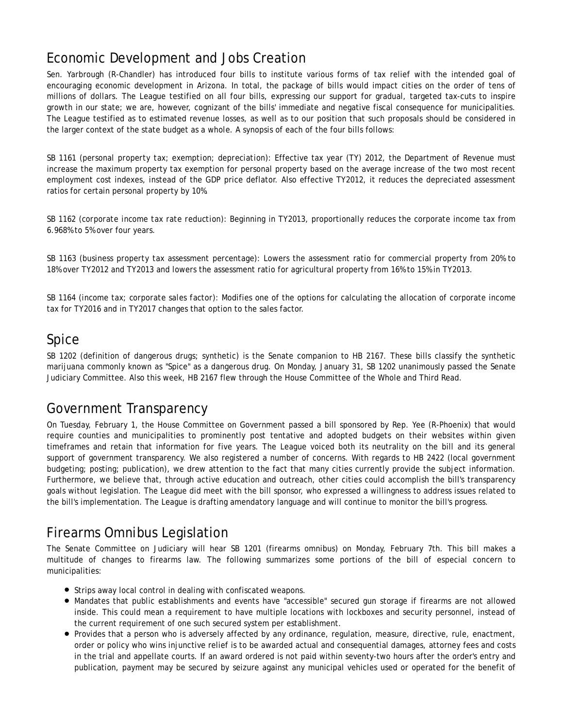# Economic Development and Jobs Creation

Sen. Yarbrough (R-Chandler) has introduced four bills to institute various forms of tax relief with the intended goal of encouraging economic development in Arizona. In total, the package of bills would impact cities on the order of tens of millions of dollars. The League testified on all four bills, expressing our support for gradual, targeted tax-cuts to inspire growth in our state; we are, however, cognizant of the bills' immediate and negative fiscal consequence for municipalities. The League testified as to estimated revenue losses, as well as to our position that such proposals should be considered in the larger context of the state budget as a whole. A synopsis of each of the four bills follows:

*SB 1161 (personal property tax; exemption; depreciation):* Effective tax year (TY) 2012, the Department of Revenue must increase the maximum property tax exemption for personal property based on the average increase of the two most recent employment cost indexes, instead of the GDP price deflator. Also effective TY2012, it reduces the depreciated assessment ratios for certain personal property by 10%.

*SB 1162 (corporate income tax rate reduction):* Beginning in TY2013, proportionally reduces the corporate income tax from 6.968% to 5% over four years.

*SB 1163 (business property tax assessment percentage):* Lowers the assessment ratio for commercial property from 20% to 18% over TY2012 and TY2013 and lowers the assessment ratio for agricultural property from 16% to 15% in TY2013.

*SB 1164 (income tax; corporate sales factor):* Modifies one of the options for calculating the allocation of corporate income tax for TY2016 and in TY2017 changes that option to the sales factor.

### Spice

SB 1202 (definition of dangerous drugs; synthetic) is the Senate companion to HB 2167. These bills classify the synthetic marijuana commonly known as "Spice" as a dangerous drug. On Monday, January 31, SB 1202 unanimously passed the Senate Judiciary Committee. Also this week, HB 2167 flew through the House Committee of the Whole and Third Read.

### Government Transparency

On Tuesday, February 1, the House Committee on Government passed a bill sponsored by Rep. Yee (R-Phoenix) that would require counties and municipalities to prominently post tentative and adopted budgets on their websites within given timeframes and retain that information for five years. The League voiced both its neutrality on the bill and its general support of government transparency. We also registered a number of concerns. With regards to HB 2422 (local government budgeting; posting; publication), we drew attention to the fact that many cities currently provide the subject information. Furthermore, we believe that, through active education and outreach, other cities could accomplish the bill's transparency goals *without* legislation. The League did meet with the bill sponsor, who expressed a willingness to address issues related to the bill's implementation. The League is drafting amendatory language and will continue to monitor the bill's progress.

## Firearms Omnibus Legislation

The Senate Committee on Judiciary will hear SB 1201 (firearms omnibus) on Monday, February 7th. This bill makes a multitude of changes to firearms law. The following summarizes some portions of the bill of especial concern to municipalities:

- **•** Strips away local control in dealing with confiscated weapons.
- Mandates that public establishments and events have "accessible" secured gun storage if firearms are not allowed inside. This could mean a requirement to have multiple locations with lockboxes and security personnel, instead of the current requirement of one such secured system per establishment.
- Provides that a person who is adversely affected by any ordinance, regulation, measure, directive, rule, enactment, order or policy who wins injunctive relief is to be awarded actual and consequential damages, attorney fees and costs in the trial and appellate courts. If an award ordered is not paid within seventy-two hours after the order's entry and publication, payment may be secured by seizure against any municipal vehicles used or operated for the benefit of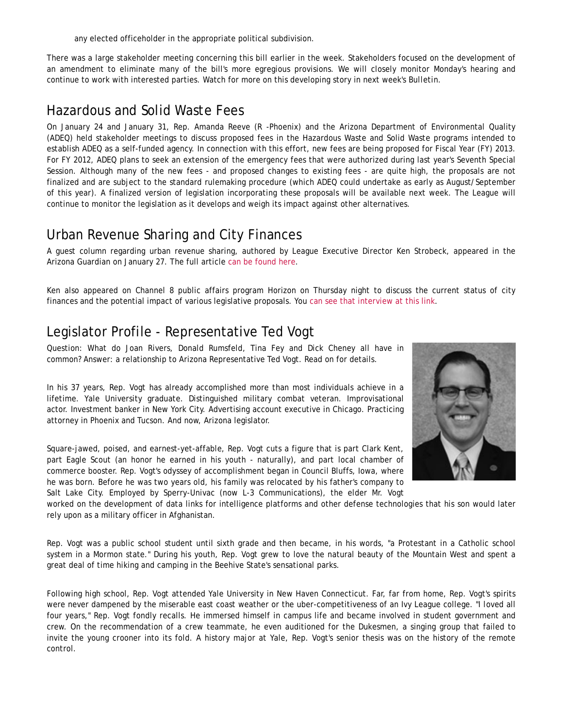any elected officeholder in the appropriate political subdivision.

There was a large stakeholder meeting concerning this bill earlier in the week. Stakeholders focused on the development of an amendment to eliminate many of the bill's more egregious provisions. We will closely monitor Monday's hearing and continue to work with interested parties. Watch for more on this developing story in next week's *Bulletin*.

### Hazardous and Solid Waste Fees

On January 24 and January 31, Rep. Amanda Reeve (R -Phoenix) and the Arizona Department of Environmental Quality (ADEQ) held stakeholder meetings to discuss proposed fees in the Hazardous Waste and Solid Waste programs intended to establish ADEQ as a self-funded agency. In connection with this effort, new fees are being proposed for Fiscal Year (FY) 2013. For FY 2012, ADEQ plans to seek an extension of the emergency fees that were authorized during last year's Seventh Special Session. Although many of the new fees - and proposed changes to existing fees - are quite high, the proposals are not finalized and are subject to the standard rulemaking procedure (which ADEQ could undertake as early as August/September of this year). A finalized version of legislation incorporating these proposals will be available next week. The League will continue to monitor the legislation as it develops and weigh its impact against other alternatives.

### Urban Revenue Sharing and City Finances

A guest column regarding urban revenue sharing, authored by League Executive Director Ken Strobeck, appeared in the Arizona Guardian on January 27. The full article can be found here.

Ken also appeared on Channel 8 public affairs program Horizon on Thursday night to discuss the current status of city finances and the potential impact of various legislative proposals. You can see that interview at this link.

### Legislator Profile - Representative Ted Vogt

Question: What do Joan Rivers, Donald Rumsfeld, Tina Fey and Dick Cheney all have in common? Answer: a relationship to Arizona Representative Ted Vogt. Read on for details.

In his 37 years, Rep. Vogt has already accomplished more than most individuals achieve in a lifetime. Yale University graduate. Distinguished military combat veteran. Improvisational actor. Investment banker in New York City. Advertising account executive in Chicago. Practicing attorney in Phoenix and Tucson. And now, Arizona legislator.

Square-jawed, poised, and earnest-yet-affable, Rep. Vogt cuts a figure that is part Clark Kent, part Eagle Scout (an honor he earned in his youth - naturally), and part local chamber of commerce booster. Rep. Vogt's odyssey of accomplishment began in Council Bluffs, Iowa, where he was born. Before he was two years old, his family was relocated by his father's company to Salt Lake City. Employed by Sperry-Univac (now L-3 Communications), the elder Mr. Vogt

worked on the development of data links for intelligence platforms and other defense technologies that his son would later rely upon as a military officer in Afghanistan.

Rep. Vogt was a public school student until sixth grade and then became, in his words, "a Protestant in a Catholic school system in a Mormon state." During his youth, Rep. Vogt grew to love the natural beauty of the Mountain West and spent a great deal of time hiking and camping in the Beehive State's sensational parks.

Following high school, Rep. Vogt attended Yale University in New Haven Connecticut. Far, far from home, Rep. Vogt's spirits were never dampened by the miserable east coast weather or the uber-competitiveness of an Ivy League college. "I *loved* all four years," Rep. Vogt fondly recalls. He immersed himself in campus life and became involved in student government and crew. On the recommendation of a crew teammate, he even auditioned for the Dukesmen, a singing group that failed to invite the young crooner into its fold. A history major at Yale, Rep. Vogt's senior thesis was on the history of the remote control.